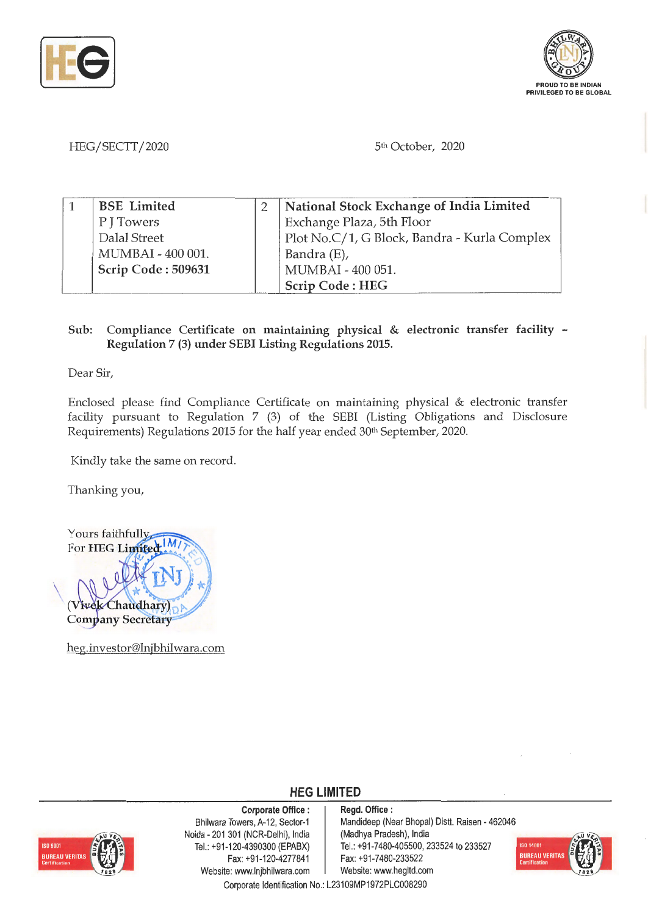



HEG/SECTT/2020 5th October, 2020

| <b>BSE</b> Limited | National Stock Exchange of India Limited     |
|--------------------|----------------------------------------------|
| P J Towers         | Exchange Plaza, 5th Floor                    |
| Dalal Street       | Plot No.C/1, G Block, Bandra - Kurla Complex |
| MUMBAI - 400 001.  | Bandra (E),                                  |
| Scrip Code: 509631 | MUMBAI - 400 051.                            |
|                    | Scrip Code: HEG                              |

## **Sub: Compliance Certificate on maintaining physical** & **electronic transfer facility** - **Regulation** 7 **(3) under SEBI Listing Regulations 2015.**

Dear Sir,

Enclosed please find Compliance Certificate on maintaining physical & electronic transfer facility pursuant to Regulation 7 (3) of the SEBI (Listing Obligations and Disclosure Requirements) Regulations 2015 for the half year ended 30<sup>th</sup> September, 2020.

Kindly take the same on record.

Thanking you,

Yours faithfully For **HEG** Limited  $|M|$ (Vivek Chaudhary) **Company Secretary** 

heg.investor@lnjbhilwara.com

## **HEG LIMITED**

**Corporate Office** :



Bhilwara Towers, A-12, Sector-1 Noida - 201 301 (NCR-Delhi), India Tel.: +91-120-4390300 (EPABX) Fax:+91-120-4277841 Website: www.lnjbhilwara.com | Website: www.hegltd.com

**Regd. Office** : Mandideep (Near Bhopal) Distt. Raisen - 462046 (Madhya Pradesh), India Tel.: +91 -7480-405500, 233524 to 233527 Fax: +91 -7480-233522



Corporate Identification No.: L23109MP1972PLC008290